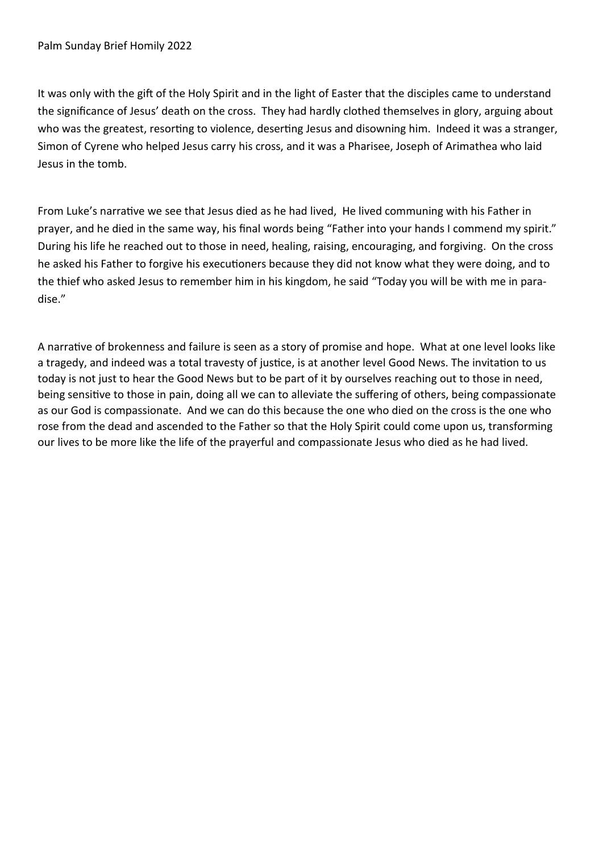It was only with the gift of the Holy Spirit and in the light of Easter that the disciples came to understand the significance of Jesus' death on the cross. They had hardly clothed themselves in glory, arguing about who was the greatest, resorting to violence, deserting Jesus and disowning him. Indeed it was a stranger, Simon of Cyrene who helped Jesus carry his cross, and it was a Pharisee, Joseph of Arimathea who laid Jesus in the tomb.

From Luke's narrative we see that Jesus died as he had lived, He lived communing with his Father in prayer, and he died in the same way, his final words being "Father into your hands I commend my spirit." During his life he reached out to those in need, healing, raising, encouraging, and forgiving. On the cross he asked his Father to forgive his executioners because they did not know what they were doing, and to the thief who asked Jesus to remember him in his kingdom, he said "Today you will be with me in paradise."

A narrative of brokenness and failure is seen as a story of promise and hope. What at one level looks like a tragedy, and indeed was a total travesty of justice, is at another level Good News. The invitation to us today is not just to hear the Good News but to be part of it by ourselves reaching out to those in need, being sensitive to those in pain, doing all we can to alleviate the suffering of others, being compassionate as our God is compassionate. And we can do this because the one who died on the cross is the one who rose from the dead and ascended to the Father so that the Holy Spirit could come upon us, transforming our lives to be more like the life of the prayerful and compassionate Jesus who died as he had lived.